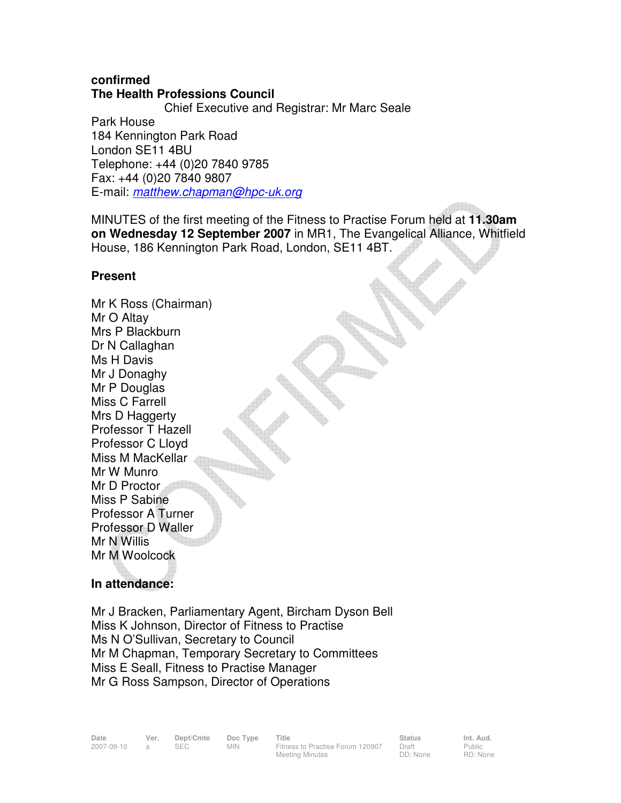## **confirmed The Health Professions Council**

 Chief Executive and Registrar: Mr Marc Seale Park House 184 Kennington Park Road London SE11 4BU Telephone: +44 (0)20 7840 9785 Fax: +44 (0)20 7840 9807 E-mail: matthew.chapman@hpc-uk.org

MINUTES of the first meeting of the Fitness to Practise Forum held at **11.30am on Wednesday 12 September 2007** in MR1, The Evangelical Alliance, Whitfield House, 186 Kennington Park Road, London, SE11 4BT.

# **Present**

Mr K Ross (Chairman) Mr O Altay Mrs P Blackburn Dr N Callaghan Ms H Davis Mr J Donaghy Mr P Douglas Miss C Farrell Mrs D Haggerty Professor T Hazell Professor C Lloyd Miss M MacKellar Mr W Munro Mr D Proctor Miss P Sabine Professor A Turner Professor D Waller Mr N Willis Mr M Woolcock

# **In attendance:**

Mr J Bracken, Parliamentary Agent, Bircham Dyson Bell Miss K Johnson, Director of Fitness to Practise Ms N O'Sullivan, Secretary to Council Mr M Chapman, Temporary Secretary to Committees Miss E Seall, Fitness to Practise Manager Mr G Ross Sampson, Director of Operations

Public RD: None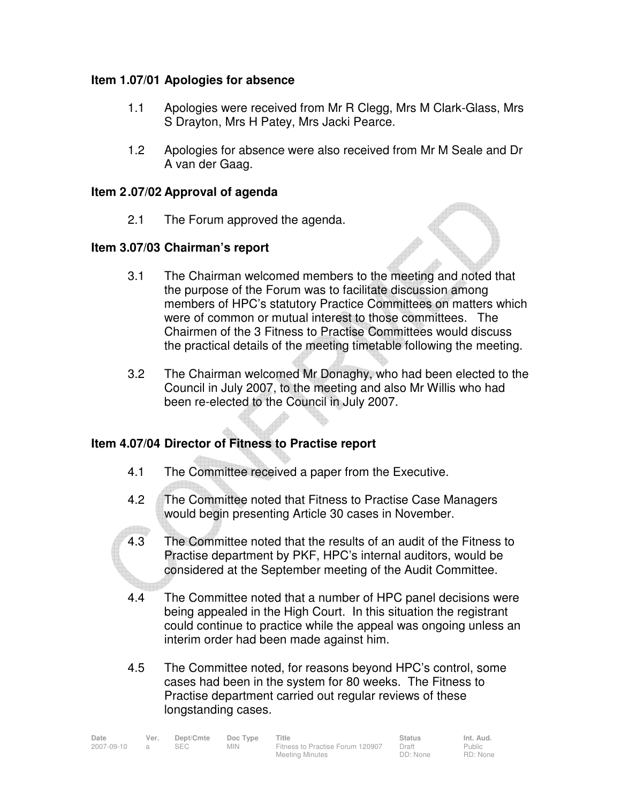## **Item 1.07/01 Apologies for absence**

- 1.1 Apologies were received from Mr R Clegg, Mrs M Clark-Glass, Mrs S Drayton, Mrs H Patey, Mrs Jacki Pearce.
- 1.2 Apologies for absence were also received from Mr M Seale and Dr A van der Gaag.

## **Item 2 .07/02 Approval of agenda**

2.1 The Forum approved the agenda.

## **Item 3.07/03 Chairman's report**

- 3.1 The Chairman welcomed members to the meeting and noted that the purpose of the Forum was to facilitate discussion among members of HPC's statutory Practice Committees on matters which were of common or mutual interest to those committees. The Chairmen of the 3 Fitness to Practise Committees would discuss the practical details of the meeting timetable following the meeting.
- 3.2 The Chairman welcomed Mr Donaghy, who had been elected to the Council in July 2007, to the meeting and also Mr Willis who had been re-elected to the Council in July 2007.

# **Item 4.07/04 Director of Fitness to Practise report**

- 4.1 The Committee received a paper from the Executive.
- 4.2 The Committee noted that Fitness to Practise Case Managers would begin presenting Article 30 cases in November.
- 4.3 The Committee noted that the results of an audit of the Fitness to Practise department by PKF, HPC's internal auditors, would be considered at the September meeting of the Audit Committee.
- 4.4 The Committee noted that a number of HPC panel decisions were being appealed in the High Court. In this situation the registrant could continue to practice while the appeal was ongoing unless an interim order had been made against him.
- 4.5 The Committee noted, for reasons beyond HPC's control, some cases had been in the system for 80 weeks. The Fitness to Practise department carried out regular reviews of these longstanding cases.

| Date       | Ver. | Dept/Cmte | Doc Type | Title                            | <b>Status</b> | Int. Aud. |
|------------|------|-----------|----------|----------------------------------|---------------|-----------|
| 2007-09-10 |      | SEC.      | MIN.     | Fitness to Practise Forum 120907 | Draft         | Public    |
|            |      |           |          | Meeting Minutes                  | DD: None      | RD: None  |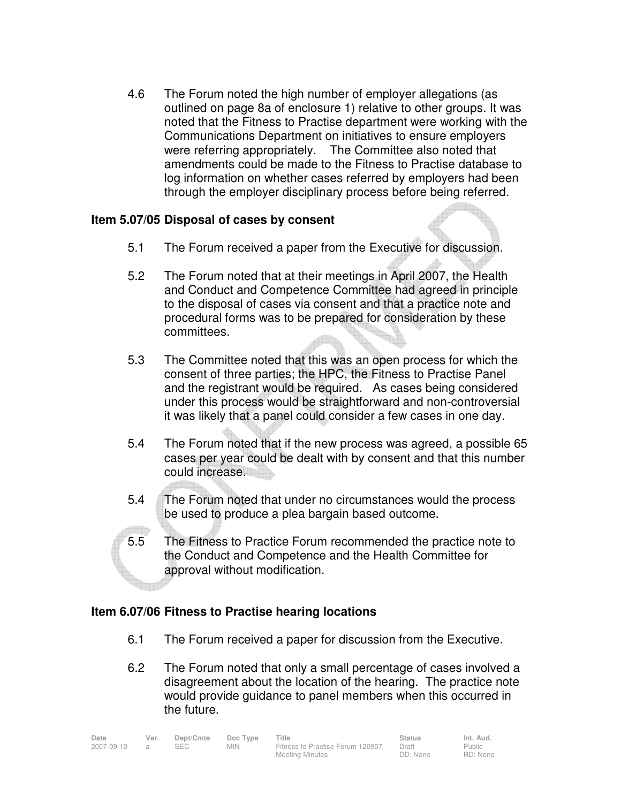4.6 The Forum noted the high number of employer allegations (as outlined on page 8a of enclosure 1) relative to other groups. It was noted that the Fitness to Practise department were working with the Communications Department on initiatives to ensure employers were referring appropriately. The Committee also noted that amendments could be made to the Fitness to Practise database to log information on whether cases referred by employers had been through the employer disciplinary process before being referred.

## **Item 5.07/05 Disposal of cases by consent**

- 5.1 The Forum received a paper from the Executive for discussion.
- 5.2 The Forum noted that at their meetings in April 2007, the Health and Conduct and Competence Committee had agreed in principle to the disposal of cases via consent and that a practice note and procedural forms was to be prepared for consideration by these committees.
- 5.3 The Committee noted that this was an open process for which the consent of three parties; the HPC, the Fitness to Practise Panel and the registrant would be required. As cases being considered under this process would be straightforward and non-controversial it was likely that a panel could consider a few cases in one day.
- 5.4 The Forum noted that if the new process was agreed, a possible 65 cases per year could be dealt with by consent and that this number could increase.
- 5.4 The Forum noted that under no circumstances would the process be used to produce a plea bargain based outcome.
- 5.5 The Fitness to Practice Forum recommended the practice note to the Conduct and Competence and the Health Committee for approval without modification.

#### **Item 6.07/06 Fitness to Practise hearing locations**

- 6.1 The Forum received a paper for discussion from the Executive.
- 6.2 The Forum noted that only a small percentage of cases involved a disagreement about the location of the hearing. The practice note would provide guidance to panel members when this occurred in the future.

| Date       | Ver.           | Dept/Cmte | Doc Type   | Title                            | <b>Status</b> | Int. Aud. |
|------------|----------------|-----------|------------|----------------------------------|---------------|-----------|
| 2007-09-10 | $\overline{a}$ | SEC -     | <b>MIN</b> | Fitness to Practise Forum 120907 | Draft         | Public    |
|            |                |           |            | <b>Meeting Minutes</b>           | DD: None      | RD: None  |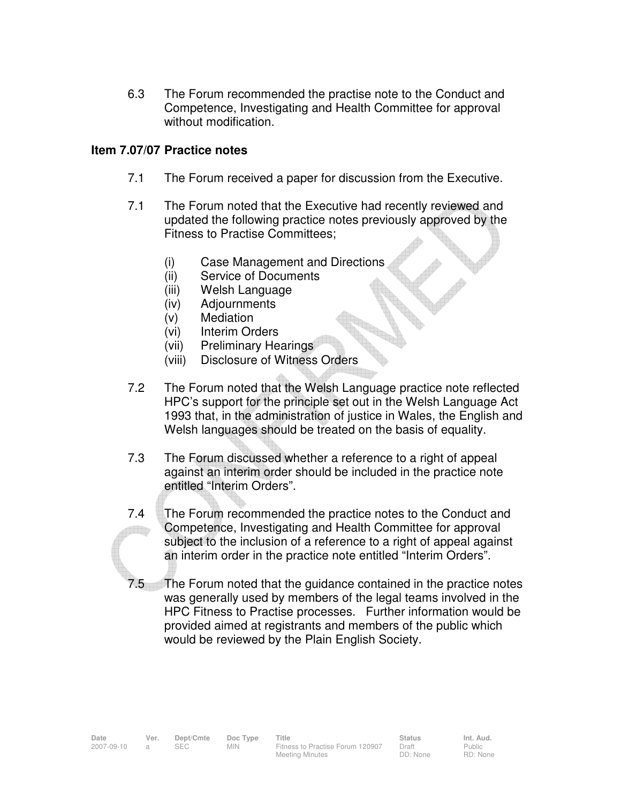6.3 The Forum recommended the practise note to the Conduct and Competence, Investigating and Health Committee for approval without modification.

## **Item 7.07/07 Practice notes**

- 7.1 The Forum received a paper for discussion from the Executive.
- 7.1 The Forum noted that the Executive had recently reviewed and updated the following practice notes previously approved by the Fitness to Practise Committees;
	- (i) Case Management and Directions
	- (ii) Service of Documents
	- (iii) Welsh Language
	- (iv) Adjournments
	- (v) Mediation
	- (vi) Interim Orders
	- (vii) Preliminary Hearings
	- (viii) Disclosure of Witness Orders
- 7.2 The Forum noted that the Welsh Language practice note reflected HPC's support for the principle set out in the Welsh Language Act 1993 that, in the administration of justice in Wales, the English and Welsh languages should be treated on the basis of equality.
- 7.3 The Forum discussed whether a reference to a right of appeal against an interim order should be included in the practice note entitled "Interim Orders".
- 7.4 The Forum recommended the practice notes to the Conduct and Competence, Investigating and Health Committee for approval **TID** subject to the inclusion of a reference to a right of appeal against an interim order in the practice note entitled "Interim Orders".
- 7.5 The Forum noted that the guidance contained in the practice notes was generally used by members of the legal teams involved in the HPC Fitness to Practise processes. Further information would be provided aimed at registrants and members of the public which would be reviewed by the Plain English Society.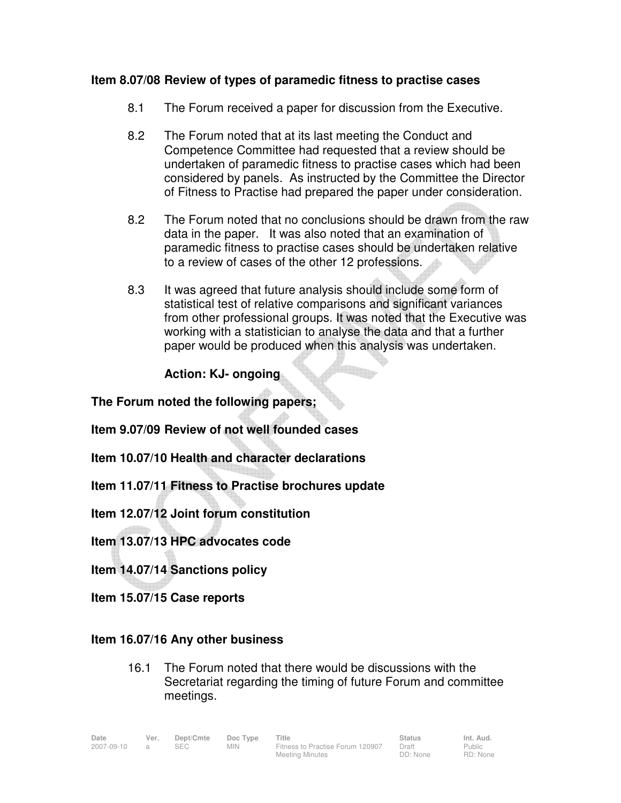## **Item 8.07/08 Review of types of paramedic fitness to practise cases**

- 8.1 The Forum received a paper for discussion from the Executive.
- 8.2 The Forum noted that at its last meeting the Conduct and Competence Committee had requested that a review should be undertaken of paramedic fitness to practise cases which had been considered by panels. As instructed by the Committee the Director of Fitness to Practise had prepared the paper under consideration.
- 8.2 The Forum noted that no conclusions should be drawn from the raw data in the paper. It was also noted that an examination of paramedic fitness to practise cases should be undertaken relative to a review of cases of the other 12 professions.
- 8.3 It was agreed that future analysis should include some form of statistical test of relative comparisons and significant variances from other professional groups. It was noted that the Executive was working with a statistician to analyse the data and that a further paper would be produced when this analysis was undertaken.

**Elle** 

 **Action: KJ- ongoing** 

**The Forum noted the following papers;** 

**Item 9.07/09 Review of not well founded cases** 

- **Item 10.07/10 Health and character declarations**
- **Item 11.07/11 Fitness to Practise brochures update**

**Item 12.07/12 Joint forum constitution** 

**Item 13.07/13 HPC advocates code** 

**Item 14.07/14 Sanctions policy** 

**Item 15.07/15 Case reports** 

#### **Item 16.07/16 Any other business**

16.1 The Forum noted that there would be discussions with the Secretariat regarding the timing of future Forum and committee meetings.

Public RD: None